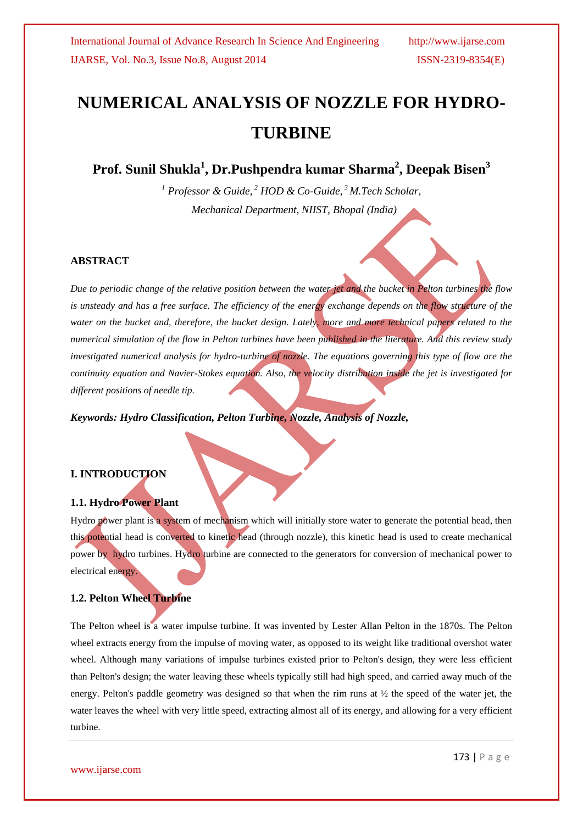# **NUMERICAL ANALYSIS OF NOZZLE FOR HYDRO-TURBINE**

**Prof. Sunil Shukla<sup>1</sup> , Dr.Pushpendra kumar Sharma<sup>2</sup> , Deepak Bisen<sup>3</sup>**

*<sup>1</sup> Professor & Guide, <sup>2</sup> HOD & Co-Guide, <sup>3</sup>M.Tech Scholar, Mechanical Department, NIIST, Bhopal (India)*

#### **ABSTRACT**

*Due to periodic change of the relative position between the water jet and the bucket in Pelton turbines the flow*  is unsteady and has a free surface. The efficiency of the energy exchange depends on the flow structure of the *water on the bucket and, therefore, the bucket design. Lately, more and more technical papers related to the numerical simulation of the flow in Pelton turbines have been published in the literature. And this review study investigated numerical analysis for hydro-turbine of nozzle. The equations governing this type of flow are the continuity equation and Navier-Stokes equation. Also, the velocity distribution inside the jet is investigated for different positions of needle tip.* 

*Keywords: Hydro Classification, Pelton Turbine, Nozzle, Analysis of Nozzle,*

#### **I. INTRODUCTION**

#### **1.1. Hydro Power Plant**

Hydro power plant is a system of mechanism which will initially store water to generate the potential head, then this potential head is converted to kinetic head (through nozzle), this kinetic head is used to create mechanical power by hydro turbines. Hydro turbine are connected to the generators for conversion of mechanical power to electrical energy.

#### **1.2. Pelton Wheel Turbine**

The Pelton wheel is a water impulse turbine. It was invented by Lester Allan Pelton in the 1870s. The Pelton wheel extracts energy from the impulse of moving water, as opposed to its weight like traditional overshot water wheel. Although many variations of impulse turbines existed prior to Pelton's design, they were less efficient than Pelton's design; the water leaving these wheels typically still had high speed, and carried away much of the energy. Pelton's paddle geometry was designed so that when the rim runs at ½ the speed of the water jet, the water leaves the wheel with very little speed, extracting almost all of its energy, and allowing for a very efficient turbine.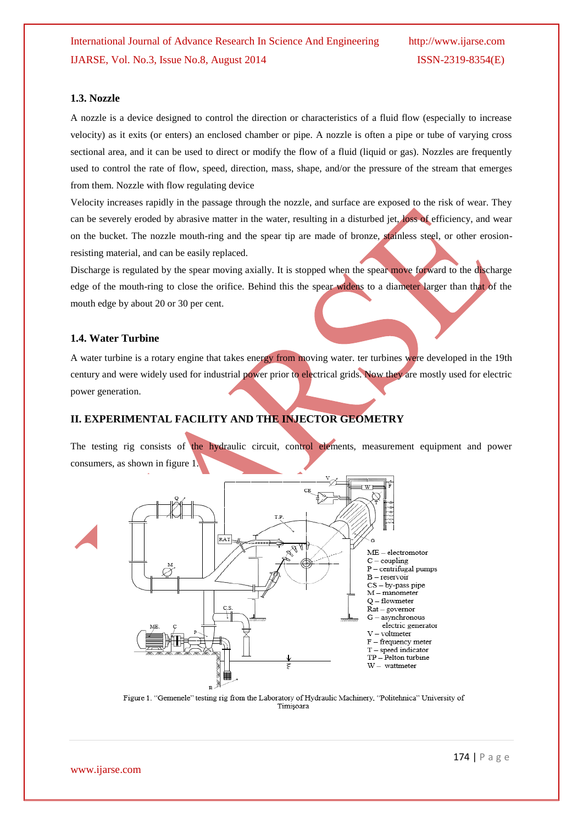#### **1.3. Nozzle**

A nozzle is a device designed to control the direction or characteristics of a fluid flow (especially to increase velocity) as it exits (or enters) an enclosed chamber or pipe. A nozzle is often a pipe or tube of varying cross sectional area, and it can be used to direct or modify the flow of a fluid (liquid or gas). Nozzles are frequently used to control the rate of flow, speed, direction, mass, shape, and/or the pressure of the stream that emerges from them. Nozzle with flow regulating device

Velocity increases rapidly in the passage through the nozzle, and surface are exposed to the risk of wear. They can be severely eroded by abrasive matter in the water, resulting in a disturbed jet, loss of efficiency, and wear on the bucket. The nozzle mouth-ring and the spear tip are made of bronze, stainless steel, or other erosionresisting material, and can be easily replaced.

Discharge is regulated by the spear moving axially. It is stopped when the spear move forward to the discharge edge of the mouth-ring to close the orifice. Behind this the spear widens to a diameter larger than that of the mouth edge by about 20 or 30 per cent.

#### **1.4. Water Turbine**

A water turbine is a rotary engine that takes energy from moving water. ter turbines were developed in the 19th century and were widely used for industrial power prior to electrical grids. Now they are mostly used for electric power generation.

#### **II. EXPERIMENTAL FACILITY AND THE INJECTOR GEOMETRY**

The testing rig consists of the hydraulic circuit, control elements, measurement equipment and power consumers, as shown in figure 1.



Figure 1. "Gemenele" testing rig from the Laboratory of Hydraulic Machinery, "Politehnica" University of Timisoara

www.ijarse.com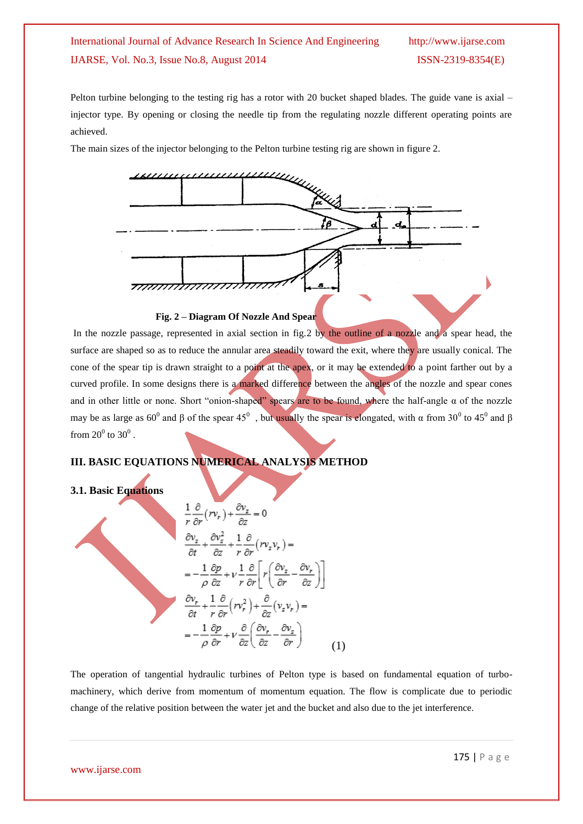Pelton turbine belonging to the testing rig has a rotor with 20 bucket shaped blades. The guide vane is axial – injector type. By opening or closing the needle tip from the regulating nozzle different operating points are achieved.

The main sizes of the injector belonging to the Pelton turbine testing rig are shown in figure 2.



#### **Fig. 2 – Diagram Of Nozzle And Spear**

In the nozzle passage, represented in axial section in fig.2 by the outline of a nozzle and a spear head, the surface are shaped so as to reduce the annular area steadily toward the exit, where they are usually conical. The cone of the spear tip is drawn straight to a point at the apex, or it may be extended to a point farther out by a curved profile. In some designs there is a marked difference between the angles of the nozzle and spear cones and in other little or none. Short "onion-shaped" spears are to be found, where the half-angle  $\alpha$  of the nozzle may be as large as 60<sup>0</sup> and β of the spear 45<sup>0</sup>, but usually the spear is elongated, with  $\alpha$  from 30<sup>0</sup> to 45<sup>0</sup> and β from  $20^0$  to  $30^0$ .

#### **III. BASIC EQUATIONS NUMERICAL ANALYSIS METHOD**

#### **3.1. Basic Equations**

$$
\frac{1}{r}\frac{\partial}{\partial r}(rv_r) + \frac{\partial v_z}{\partial z} = 0
$$
\n
$$
\frac{\partial v_z}{\partial t} + \frac{\partial v_z^2}{\partial z} + \frac{1}{r}\frac{\partial}{\partial r}(rv_zv_r) =
$$
\n
$$
= -\frac{1}{\rho}\frac{\partial p}{\partial z} + v\frac{1}{r}\frac{\partial}{\partial r}\left[r\left(\frac{\partial v_z}{\partial r} - \frac{\partial v_r}{\partial z}\right)\right]
$$
\n
$$
\frac{\partial v_r}{\partial t} + \frac{1}{r}\frac{\partial}{\partial r}(rv_r^2) + \frac{\partial}{\partial z}(v_zv_r) =
$$
\n
$$
= -\frac{1}{\rho}\frac{\partial p}{\partial r} + v\frac{\partial}{\partial z}\left(\frac{\partial v_r}{\partial z} - \frac{\partial v_z}{\partial r}\right)
$$
\n(1)

The operation of tangential hydraulic turbines of Pelton type is based on fundamental equation of turbomachinery, which derive from momentum of momentum equation. The flow is complicate due to periodic change of the relative position between the water jet and the bucket and also due to the jet interference.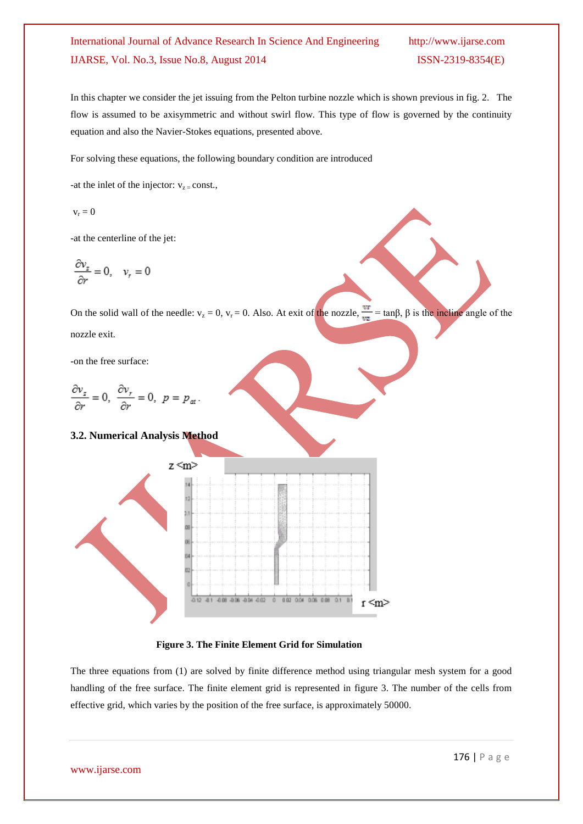In this chapter we consider the jet issuing from the Pelton turbine nozzle which is shown previous in fig. 2. The flow is assumed to be axisymmetric and without swirl flow. This type of flow is governed by the continuity equation and also the Navier-Stokes equations, presented above.

For solving these equations, the following boundary condition are introduced

-at the inlet of the injector:  $v_{z}$  = const.,

$$
\boldsymbol{v}_r = \boldsymbol{0}
$$

-at the centerline of the jet:

$$
\frac{\partial v_z}{\partial r} = 0, \quad v_r = 0
$$

On the solid wall of the needle:  $v_z = 0$ ,  $v_r = 0$ . Also. At exit of the nozzle,  $\frac{vr}{v^2} = \tan\beta$ ,  $\beta$  is the incline angle of the nozzle exit.

-on the free surface:

$$
\frac{\partial v_z}{\partial r} = 0, \ \frac{\partial v_r}{\partial r} = 0, \ p = p_{\alpha t}.
$$

#### **3.2. Numerical Analysis Method**



 **Figure 3. The Finite Element Grid for Simulation** 

The three equations from (1) are solved by finite difference method using triangular mesh system for a good handling of the free surface. The finite element grid is represented in figure 3. The number of the cells from effective grid, which varies by the position of the free surface, is approximately 50000.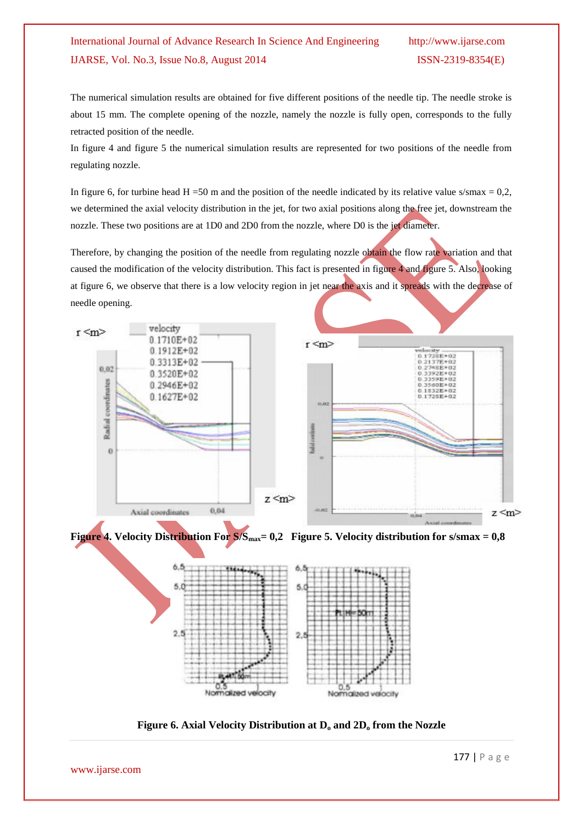The numerical simulation results are obtained for five different positions of the needle tip. The needle stroke is about 15 mm. The complete opening of the nozzle, namely the nozzle is fully open, corresponds to the fully retracted position of the needle.

In figure 4 and figure 5 the numerical simulation results are represented for two positions of the needle from regulating nozzle.

In figure 6, for turbine head H =50 m and the position of the needle indicated by its relative value s/smax =  $0.2$ , we determined the axial velocity distribution in the jet, for two axial positions along the free jet, downstream the nozzle. These two positions are at 1D0 and 2D0 from the nozzle, where D0 is the jet diameter.

Therefore, by changing the position of the needle from regulating nozzle obtain the flow rate variation and that caused the modification of the velocity distribution. This fact is presented in figure 4 and figure 5. Also, looking at figure 6, we observe that there is a low velocity region in jet near the axis and it spreads with the decrease of needle opening.



**Figure 4. Velocity Distribution For S/Smax= 0,2 Figure 5. Velocity distribution for s/smax = 0,8**



**Figure 6. Axial Velocity Distribution at D<sup>o</sup> and 2D<sup>o</sup> from the Nozzle**

www.ijarse.com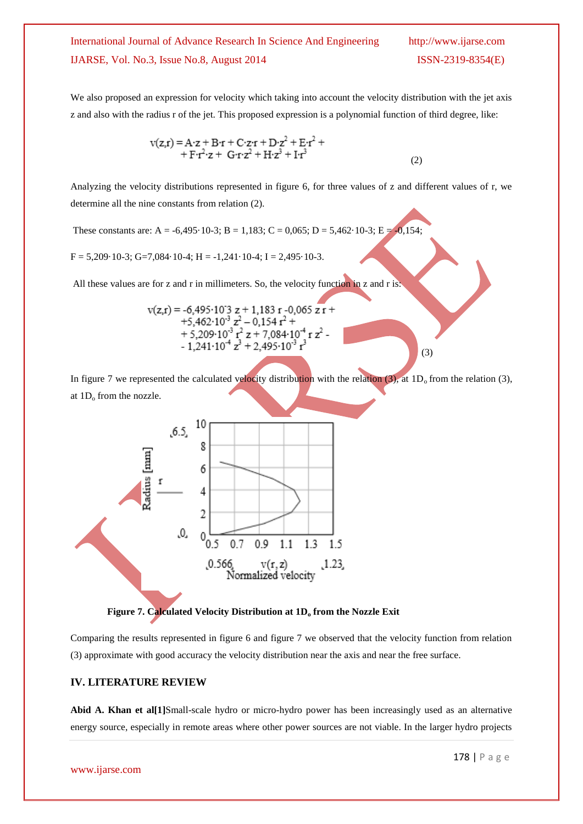We also proposed an expression for velocity which taking into account the velocity distribution with the jet axis z and also with the radius r of the jet. This proposed expression is a polynomial function of third degree, like:

$$
v(z,r) = A \cdot z + B \cdot r + C \cdot z \cdot r + D \cdot z^{2} + E \cdot r^{2} ++ F \cdot r^{2} \cdot z + G \cdot r \cdot z^{2} + H \cdot z^{3} + I \cdot r^{3}
$$
\n(2)

Analyzing the velocity distributions represented in figure 6, for three values of z and different values of r, we determine all the nine constants from relation (2).

These constants are: A = -6,495·10-3; B = 1,183; C = 0,065; D = 5,462·10-3; E = -0,154;

 $F = 5,209 \cdot 10 \cdot 3$ ; G=7,084 $\cdot 10 \cdot 4$ ; H =  $-1,241 \cdot 10 \cdot 4$ ; I = 2,495 $\cdot 10 \cdot 3$ .

All these values are for z and r in millimeters. So, the velocity function in z and r is:

$$
v(z,r) = -6,495 \cdot 10^{3} z + 1,183 r - 0,065 zr ++5,462 \cdot 10^{-3} z^{2} - 0,154 r^{2} ++5,209 \cdot 10^{-3} r^{2} z + 7,084 \cdot 10^{-4} r z^{2} -- 1,241 \cdot 10^{-4} z^{3} + 2,495 \cdot 10^{-3} r^{3}
$$
\n(3)

In figure 7 we represented the calculated velocity distribution with the relation (3), at  $1D_0$  from the relation (3), at  $1D_0$  from the nozzle.



 **Figure 7. Calculated Velocity Distribution at 1D<sup>o</sup> from the Nozzle Exit**

Comparing the results represented in figure 6 and figure 7 we observed that the velocity function from relation (3) approximate with good accuracy the velocity distribution near the axis and near the free surface.

#### **IV. LITERATURE REVIEW**

Abid A. Khan et al<sup>[1]</sup>Small-scale hydro or micro-hydro power has been increasingly used as an alternative energy source, especially in remote areas where other power sources are not viable. In the larger hydro projects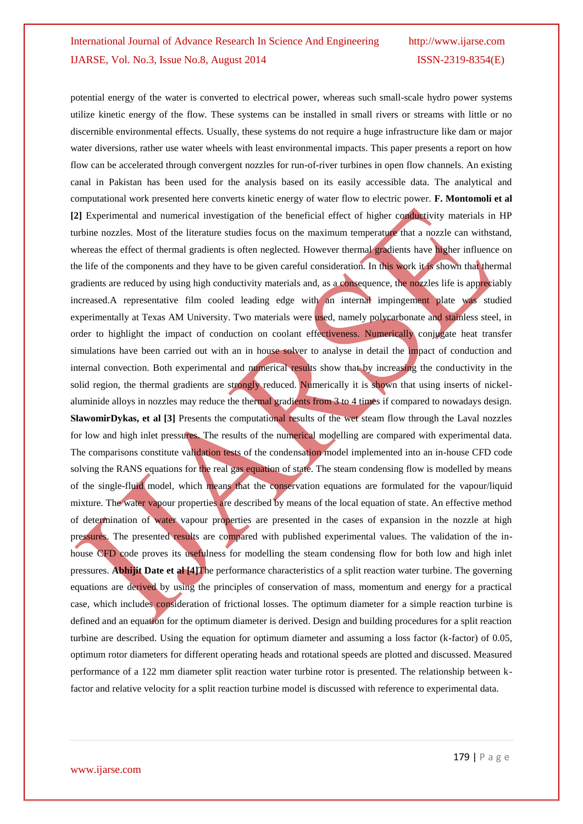potential energy of the water is converted to electrical power, whereas such small-scale hydro power systems utilize kinetic energy of the flow. These systems can be installed in small rivers or streams with little or no discernible environmental effects. Usually, these systems do not require a huge infrastructure like dam or major water diversions, rather use water wheels with least environmental impacts. This paper presents a report on how flow can be accelerated through convergent nozzles for run-of-river turbines in open flow channels. An existing canal in Pakistan has been used for the analysis based on its easily accessible data. The analytical and computational work presented here converts kinetic energy of water flow to electric power. **F. Montomoli et al [2]** Experimental and numerical investigation of the beneficial effect of higher conductivity materials in HP turbine nozzles. Most of the literature studies focus on the maximum temperature that a nozzle can withstand, whereas the effect of thermal gradients is often neglected. However thermal gradients have higher influence on the life of the components and they have to be given careful consideration. In this work it is shown that thermal gradients are reduced by using high conductivity materials and, as a consequence, the nozzles life is appreciably increased.A representative film cooled leading edge with an internal impingement plate was studied experimentally at Texas AM University. Two materials were used, namely polycarbonate and stainless steel, in order to highlight the impact of conduction on coolant effectiveness. Numerically conjugate heat transfer simulations have been carried out with an in house solver to analyse in detail the impact of conduction and internal convection. Both experimental and numerical results show that by increasing the conductivity in the solid region, the thermal gradients are strongly reduced. Numerically it is shown that using inserts of nickelaluminide alloys in nozzles may reduce the thermal gradients from 3 to 4 times if compared to nowadays design. **SławomirDykas, et al [3]** Presents the computational results of the wet steam flow through the Laval nozzles for low and high inlet pressures. The results of the numerical modelling are compared with experimental data. The comparisons constitute validation tests of the condensation model implemented into an in-house CFD code solving the RANS equations for the real gas equation of state. The steam condensing flow is modelled by means of the single-fluid model, which means that the conservation equations are formulated for the vapour/liquid mixture. The water vapour properties are described by means of the local equation of state. An effective method of determination of water vapour properties are presented in the cases of expansion in the nozzle at high pressures. The presented results are compared with published experimental values. The validation of the inhouse CFD code proves its usefulness for modelling the steam condensing flow for both low and high inlet pressures. **Abhijit Date et al [4]**The performance characteristics of a split reaction water turbine. The governing equations are derived by using the principles of conservation of mass, momentum and energy for a practical case, which includes consideration of frictional losses. The optimum diameter for a simple reaction turbine is defined and an equation for the optimum diameter is derived. Design and building procedures for a split reaction turbine are described. Using the equation for optimum diameter and assuming a loss factor (k-factor) of 0.05, optimum rotor diameters for different operating heads and rotational speeds are plotted and discussed. Measured performance of a 122 mm diameter split reaction water turbine rotor is presented. The relationship between kfactor and relative velocity for a split reaction turbine model is discussed with reference to experimental data.